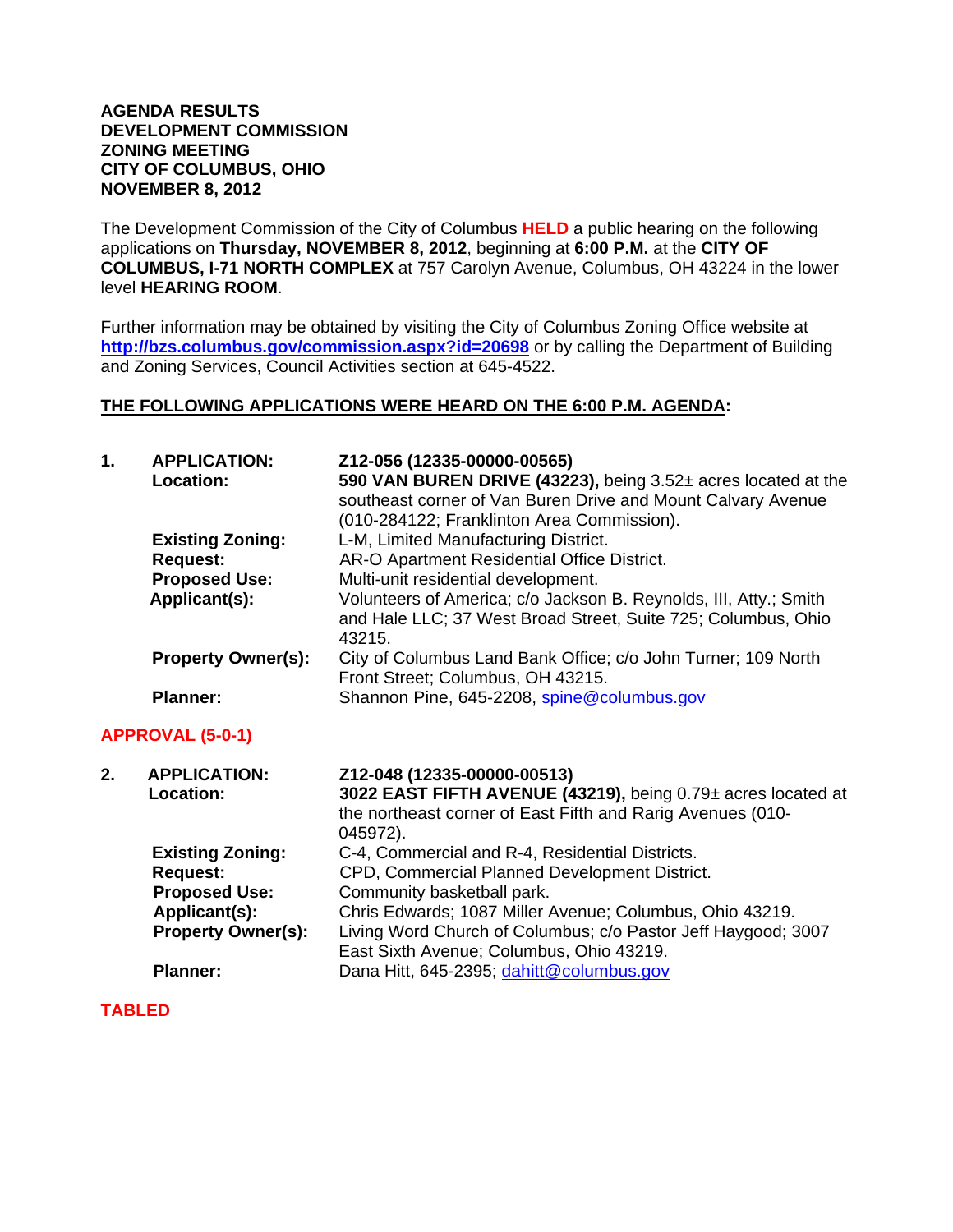#### **AGENDA RESULTS DEVELOPMENT COMMISSION ZONING MEETING CITY OF COLUMBUS, OHIO NOVEMBER 8, 2012**

The Development Commission of the City of Columbus **HELD** a public hearing on the following applications on **Thursday, NOVEMBER 8, 2012**, beginning at **6:00 P.M.** at the **CITY OF COLUMBUS, I-71 NORTH COMPLEX** at 757 Carolyn Avenue, Columbus, OH 43224 in the lower level **HEARING ROOM**.

Further information may be obtained by visiting the City of Columbus Zoning Office website at **http://bzs.columbus.gov/commission.aspx?id=20698** or by calling the Department of Building and Zoning Services, Council Activities section at 645-4522.

## **THE FOLLOWING APPLICATIONS WERE HEARD ON THE 6:00 P.M. AGENDA:**

| 1. | <b>APPLICATION:</b><br>Location: | Z12-056 (12335-00000-00565)<br>590 VAN BUREN DRIVE (43223), being 3.52± acres located at the<br>southeast corner of Van Buren Drive and Mount Calvary Avenue<br>(010-284122; Franklinton Area Commission). |
|----|----------------------------------|------------------------------------------------------------------------------------------------------------------------------------------------------------------------------------------------------------|
|    | <b>Existing Zoning:</b>          | L-M, Limited Manufacturing District.                                                                                                                                                                       |
|    | <b>Request:</b>                  | AR-O Apartment Residential Office District.                                                                                                                                                                |
|    | <b>Proposed Use:</b>             | Multi-unit residential development.                                                                                                                                                                        |
|    | Applicant(s):                    | Volunteers of America; c/o Jackson B. Reynolds, III, Atty.; Smith<br>and Hale LLC; 37 West Broad Street, Suite 725; Columbus, Ohio<br>43215.                                                               |
|    | <b>Property Owner(s):</b>        | City of Columbus Land Bank Office; c/o John Turner; 109 North<br>Front Street; Columbus, OH 43215.                                                                                                         |
|    | <b>Planner:</b>                  | Shannon Pine, 645-2208, spine@columbus.gov                                                                                                                                                                 |
|    | <b>APPROVAL (5-0-1)</b>          |                                                                                                                                                                                                            |
| 2. | <b>APPLICATION:</b><br>Location: | Z12-048 (12335-00000-00513)<br>3022 EAST FIFTH AVENUE (43219), being 0.79± acres located at<br>the northeast corner of East Fifth and Rarig Avenues (010-<br>045972).                                      |
|    | <b>Existing Zoning:</b>          | C-4, Commercial and R-4, Residential Districts.                                                                                                                                                            |
|    | <b>Request:</b>                  | CPD, Commercial Planned Development District.                                                                                                                                                              |
|    | <b>Proposed Use:</b>             | Community basketball park.                                                                                                                                                                                 |
|    | Applicant(s):                    | Chris Edwards; 1087 Miller Avenue; Columbus, Ohio 43219.                                                                                                                                                   |
|    | <b>Property Owner(s):</b>        | Living Word Church of Columbus; c/o Pastor Jeff Haygood; 3007<br>East Sixth Avenue; Columbus, Ohio 43219.                                                                                                  |
|    | <b>Planner:</b>                  | Dana Hitt, 645-2395; dahitt@columbus.gov                                                                                                                                                                   |

## **TABLED**